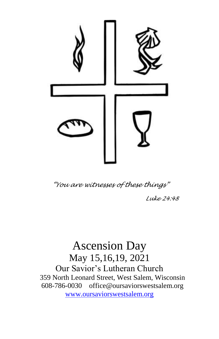

 *"You are witnesses of these things"*

*Luke 24:48*

# Ascension Day May 15,16,19, 2021 Our Savior's Lutheran Church 359 North Leonard Street, West Salem, Wisconsin 608-786-0030 office@oursaviorswestsalem.org [www.oursaviorswestsalem.org](http://www.oursaviorswestsalem.org/)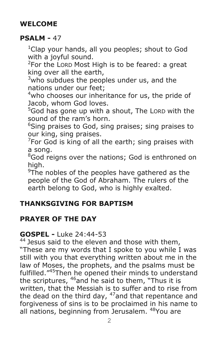#### **WELCOME**

#### **PSALM -** 47

 $1$ Clap your hands, all you peoples; shout to God with a joyful sound.

 $2$ For the LORD Most High is to be feared: a great king over all the earth,

 $3$ who subdues the peoples under us, and the nations under our feet;

<sup>4</sup>who chooses our inheritance for us, the pride of Jacob, whom God loves.

<sup>5</sup>God has gone up with a shout, The Lorp with the sound of the ram's horn.

 $6$ Sing praises to God, sing praises; sing praises to our king, sing praises.

 $7$ For God is king of all the earth; sing praises with a song.

 $8$ God reigns over the nations; God is enthroned on high.

 $9$ The nobles of the peoples have gathered as the people of the God of Abraham. The rulers of the earth belong to God, who is highly exalted.

### **THANKSGIVING FOR BAPTISM**

### **PRAYER OF THE DAY**

#### **GOSPEL -** Luke 24:44-53

 $44$  Jesus said to the eleven and those with them, "These are my words that I spoke to you while I was still with you that everything written about me in the law of Moses, the prophets, and the psalms must be fulfilled."<sup>45</sup>Then he opened their minds to understand the scriptures,  $46$  and he said to them, "Thus it is written, that the Messiah is to suffer and to rise from the dead on the third day,  $47$  and that repentance and forgiveness of sins is to be proclaimed in his name to all nations, beginning from Jerusalem. <sup>48</sup>You are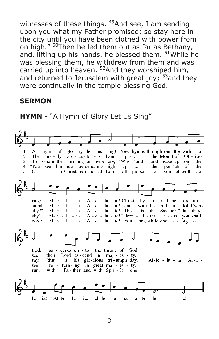witnesses of these things.  $49$ And see, I am sending upon you what my Father promised; so stay here in the city until you have been clothed with power from on high." <sup>50</sup>Then he led them out as far as Bethany, and, lifting up his hands, he blessed them. <sup>51</sup>While he was blessing them, he withdrew from them and was carried up into heaven.  $52$ And they worshiped him, and returned to Jerusalem with great joy;  $53$  and they were continually in the temple blessing God.

#### **SERMON**

**HYMN -** "A Hymn of Glory Let Us Sing"

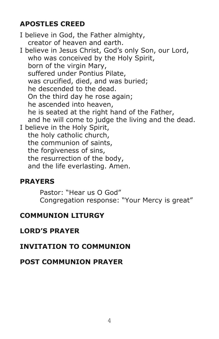## **APOSTLES CREED**

I believe in God, the Father almighty, creator of heaven and earth. I believe in Jesus Christ, God's only Son, our Lord, who was conceived by the Holy Spirit, born of the virgin Mary, suffered under Pontius Pilate, was crucified, died, and was buried; he descended to the dead. On the third day he rose again; he ascended into heaven, he is seated at the right hand of the Father, and he will come to judge the living and the dead. I believe in the Holy Spirit, the holy catholic church, the communion of saints, the forgiveness of sins, the resurrection of the body, and the life everlasting. Amen.

## **PRAYERS**

Pastor: "Hear us O God" Congregation response: "Your Mercy is great"

### **COMMUNION LITURGY**

### **LORD'S PRAYER**

#### **INVITATION TO COMMUNION**

#### **POST COMMUNION PRAYER**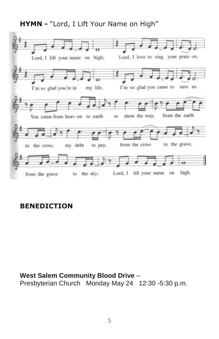**HYMN -** "Lord, I Lift Your Name on High"



#### **BENEDICTION**

#### **West Salem Community Blood Drive** –

Presbyterian Church Monday May 24 12:30 -5:30 p.m.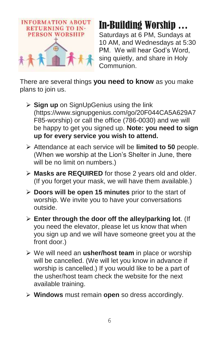

# In-Building Worship …

Saturdays at 6 PM, Sundays at 10 AM, and Wednesdays at 5:30 PM. We will hear God's Word, sing quietly, and share in Holy Communion.

There are several things **you need to know** as you make plans to join us.

- ➢ **Sign up** on SignUpGenius using the link (https://www.signupgenius.com/go/20F044CA5A629A7 F85-worship) or call the office (786-0030) and we will be happy to get you signed up. **Note: you need to sign up for every service you wish to attend.**
- ➢ Attendance at each service will be **limited to 50** people. (When we worship at the Lion's Shelter in June, there will be no limit on numbers.)
- ➢ **Masks are REQUIRED** for those 2 years old and older. (If you forget your mask, we will have them available.)
- ➢ **Doors will be open 15 minutes** prior to the start of worship. We invite you to have your conversations outside.
- ➢ **Enter through the door off the alley/parking lot**. (If you need the elevator, please let us know that when you sign up and we will have someone greet you at the front door.)
- ➢ We will need an **usher/host team** in place or worship will be cancelled. (We will let you know in advance if worship is cancelled.) If you would like to be a part of the usher/host team check the website for the next available training.
- ➢ **Windows** must remain **open** so dress accordingly.